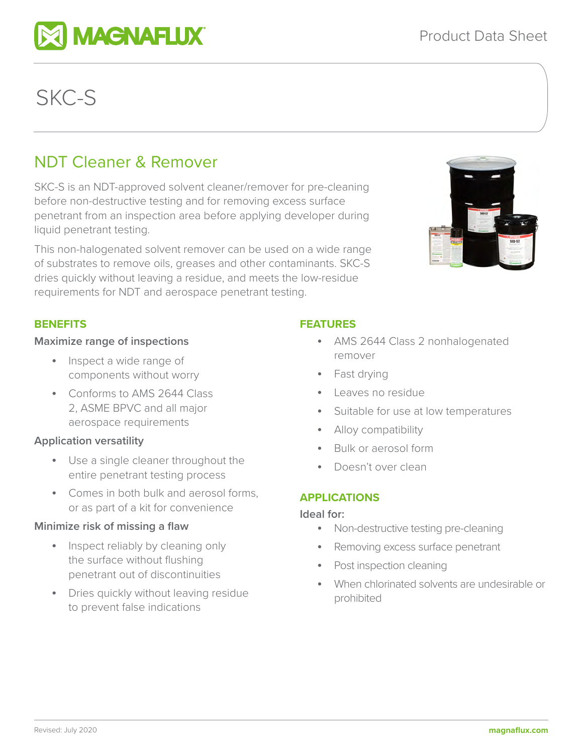# NDT Cleaner & Remover

SKC-S is an NDT-approved solvent cleaner/remover for pre-cleaning before non-destructive testing and for removing excess surface penetrant from an inspection area before applying developer during liquid penetrant testing.

This non-halogenated solvent remover can be used on a wide range of substrates to remove oils, greases and other contaminants. SKC-S dries quickly without leaving a residue, and meets the low-residue requirements for NDT and aerospace penetrant testing.

#### **FEATURES**

- AMS 2644 Class 2 nonhalogenated remover
- Fast drying
- Leaves no residue
- Suitable for use at low temperatures
- Alloy compatibility
- Bulk or aerosol form
- Doesn't over clean

#### **APPLICATIONS**

#### **Ideal for:**

- Non-destructive testing pre-cleaning
- Removing excess surface penetrant
- Post inspection cleaning
- When chlorinated solvents are undesirable or prohibited



SKC-S

**BENEFITS**



- components without worry • Conforms to AMS 2644 Class 2, ASME BPVC and all major
	- aerospace requirements

**Maximize range of inspections** 

• Inspect a wide range of

#### **Application versatility**

- Use a single cleaner throughout the entire penetrant testing process
- Comes in both bulk and aerosol forms, or as part of a kit for convenience

## **Minimize risk of missing a flaw**

- Inspect reliably by cleaning only the surface without flushing penetrant out of discontinuities
- Dries quickly without leaving residue to prevent false indications